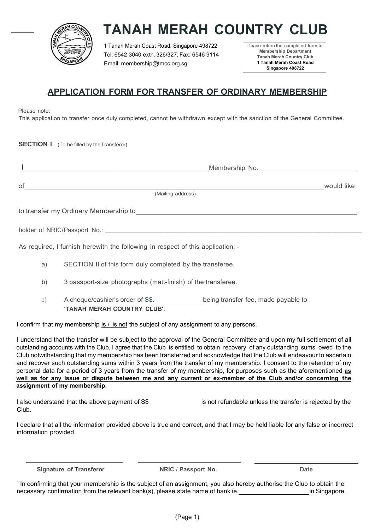

# TANAH MERAH COUNTRY CLUB

1 Tanah Merah Coast Road, Singapore 498722 Tel: 6542 3040 extn. 326/327, Fax: 6546 9114 Email: membership@tmcc.org.sg

!'lease return the completed form to: Membership Department Tanah Merah Country Club 1 Tanah Merah Coast Road Singapore 498722

## APPLICATION FORM FOR TRANSFER OF ORDINARY MEMBERSHIP

Please note:

This application to transfer once duly completed, cannot be withdrawn except with the sanction of the General Committee.

**SECTION I** (To be filled by the Transferor)

|                                       | Membership No. 1999                                                                                                  |            |
|---------------------------------------|----------------------------------------------------------------------------------------------------------------------|------------|
| of                                    | (Mailing address)                                                                                                    | would like |
| to transfer my Ordinary Membership to | <u> 1989 - Jan Samuel Barbara, margaret e populari e populari e populari e populari e populari e populari e popu</u> |            |
| holder of NRIC/Passport No.:          |                                                                                                                      |            |

As required, I furnish herewith the following in respect of this application: -

- a) SECTION II of this form duly completed by the transferee.
- b) 3 passport-size photographs (matt-finish) of the transferee.
- c) A cheque/cashier's order of S\$. being transfer fee, made payable to 'TANAH MERAH COUNTRY CLUB'.

I confirm that my membership is  $/$  is not the subject of any assignment to any persons.

I understand that the transfer will be subject to the approval of the General Committee and upon my full settlement of all outstanding accounts with the Club. I agree that the Club is entitled to obtain recovery of any outstanding sums owed to the Club notwithstanding that my membership has been transferred and acknowledge that the Club will endeavour to ascertain and recover such outstanding sums within 3 years from the transfer of my membership. I consent to the retention of my personal data for a period of 3 years from the transfer of my membership, for purposes such as the aforementioned as well as for any issue or dispute between me and any current or ex-member of the Club and/or concerning the assignment of my membership.

I also understand that the above payment of S\$ is not refundable unless the transfer is rejected by the Club.

I declare that all the information provided above is true and correct, and that I may be held liable for any false or incorrect information provided.

Signature of Transferor **NRIC / Passport No.** Date

<sup>1</sup>In confirming that your membership is the subject of an assignment, you also hereby authorise the Club to obtain the necessary confirmation from the relevant bank(s), please state name of bank ie. **in Standally and Singapore.** in Singapore.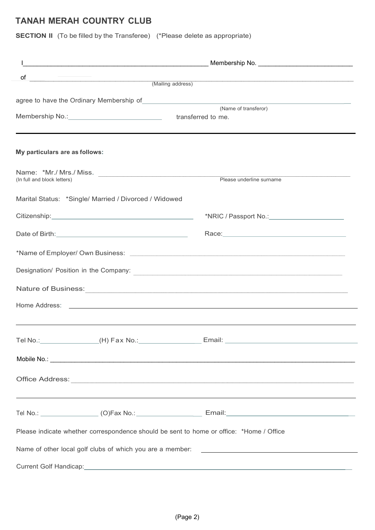## TANAH MERAH COUNTRY CLUB

SECTION II (To be filled by the Transferee) (\*Please delete as appropriate)

| οf<br><u> 1980 - Jan Samuel Barbara, margaret e</u>                                                                                                                                                                            | (Mailing address)<br>(Mailing address)                                                                         |  |
|--------------------------------------------------------------------------------------------------------------------------------------------------------------------------------------------------------------------------------|----------------------------------------------------------------------------------------------------------------|--|
|                                                                                                                                                                                                                                |                                                                                                                |  |
| agree to have the Ordinary Membership of Manuel All Allen (Name of transferor)                                                                                                                                                 |                                                                                                                |  |
|                                                                                                                                                                                                                                |                                                                                                                |  |
|                                                                                                                                                                                                                                |                                                                                                                |  |
| My particulars are as follows:                                                                                                                                                                                                 |                                                                                                                |  |
| (In full and block letters)                                                                                                                                                                                                    | Please underline surname                                                                                       |  |
|                                                                                                                                                                                                                                |                                                                                                                |  |
| Marital Status: *Single/ Married / Divorced / Widowed                                                                                                                                                                          |                                                                                                                |  |
|                                                                                                                                                                                                                                |                                                                                                                |  |
| Date of Birth: <u>contract and a series of Birth:</u>                                                                                                                                                                          | Race: 2008 2009 2010 2021 2022 2023 2024 2022 2022 2023 2024 2022 2023 2024 2022 2023 2024 2022 2023 2024 2025 |  |
|                                                                                                                                                                                                                                |                                                                                                                |  |
|                                                                                                                                                                                                                                |                                                                                                                |  |
|                                                                                                                                                                                                                                |                                                                                                                |  |
|                                                                                                                                                                                                                                |                                                                                                                |  |
|                                                                                                                                                                                                                                |                                                                                                                |  |
| Tel No.: (H) Fax No.: Email: Contract Contract Contract Contract Contract Contract Contract Contract Contract Contract Contract Contract Contract Contract Contract Contract Contract Contract Contract Contract Contract Cont |                                                                                                                |  |
|                                                                                                                                                                                                                                |                                                                                                                |  |
|                                                                                                                                                                                                                                |                                                                                                                |  |
|                                                                                                                                                                                                                                | ,我们也不会有什么。""我们的人,我们也不会有什么?""我们的人,我们也不会有什么?""我们的人,我们也不会有什么?""我们的人,我们也不会有什么?""我们的人                               |  |
| Tel No.: __________________(O)Fax No.: ______________________ Email:________________________________                                                                                                                           |                                                                                                                |  |
| Please indicate whether correspondence should be sent to home or office: *Home / Office                                                                                                                                        |                                                                                                                |  |
|                                                                                                                                                                                                                                |                                                                                                                |  |
|                                                                                                                                                                                                                                |                                                                                                                |  |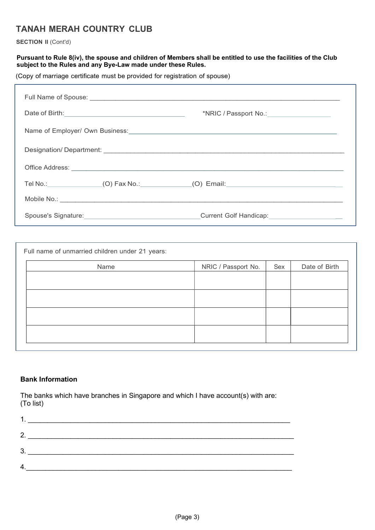# TANAH MERAH COUNTRY CLUB

SECTION II (Cont'd)

#### Pursuant to Rule 8(iv), the spouse and children of Members shall be entitled to use the facilities of the Club subject to the Rules and any Bye-Law made under these Rules.

(Copy of marriage certificate must be provided for registration of spouse)

| Date of Birth: <u>Cambridge Community Community Community Community Community Community Community Community Community</u><br>*NRIC / Passport No.: \\cdot \\cdot \\cdot \\cdot \\cdot \\cdot \\cdot \\cdot \\cdot \\cdot \\cdot \\cdot \\cdot \\cdot \\cdot \\cdot \\cdot \\cdot \\cdot \\cdot \\cdot \\cdot \\cdot \\cdot \\cdot \\cdot \\cdot \\cdot \\cd |
|-------------------------------------------------------------------------------------------------------------------------------------------------------------------------------------------------------------------------------------------------------------------------------------------------------------------------------------------------------------|
| Name of Employer/ Own Business: Manual Account of Employer Assembly Development of Employer/ Own Business:                                                                                                                                                                                                                                                  |
|                                                                                                                                                                                                                                                                                                                                                             |
|                                                                                                                                                                                                                                                                                                                                                             |
| Tel No.: ________________(O) Fax No.:______________(O) Email:___________________________                                                                                                                                                                                                                                                                    |
|                                                                                                                                                                                                                                                                                                                                                             |
| Current Golf Handicap:_____________________                                                                                                                                                                                                                                                                                                                 |

| Name | NRIC / Passport No. | Sex | Date of Birth |
|------|---------------------|-----|---------------|
|      |                     |     |               |
|      |                     |     |               |
|      |                     |     |               |
|      |                     |     |               |
|      |                     |     |               |

## Bank Information

The banks which have branches in Singapore and which I have account(s) with are: (To list)

| っ |  |
|---|--|
| ົ |  |
|   |  |
|   |  |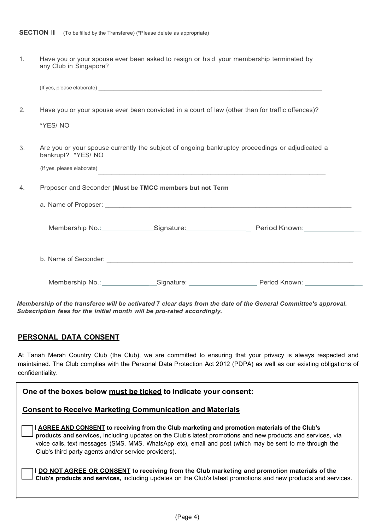1. Have you or your spouse ever been asked to resign or had your membership terminated by any Club in Singapore?

| 2. |                            |                                                          | Have you or your spouse ever been convicted in a court of law (other than for traffic offences)? |
|----|----------------------------|----------------------------------------------------------|--------------------------------------------------------------------------------------------------|
|    | *YES/NO                    |                                                          |                                                                                                  |
| 3. | bankrupt? *YES/ NO         |                                                          | Are you or your spouse currently the subject of ongoing bankruptcy proceedings or adjudicated a  |
|    | (If yes, please elaborate) |                                                          | <u> 1989 - Johann Stoff, amerikansk politiker (d. 1989)</u>                                      |
| 4. |                            | Proposer and Seconder (Must be TMCC members but not Term |                                                                                                  |
|    |                            |                                                          |                                                                                                  |
|    |                            |                                                          |                                                                                                  |
|    |                            |                                                          |                                                                                                  |
|    |                            |                                                          |                                                                                                  |

Membership of the transferee will be activated 7 clear days from the date of the General Committee's approval. Subscription fees for the initial month will be pro-rated accordingly.

### PERSONAL DATA CONSENT

At Tanah Merah Country Club (the Club), we are committed to ensuring that your privacy is always respected and maintained. The Club complies with the Personal Data Protection Act 2012 (PDPA) as well as our existing obligations of confidentiality.